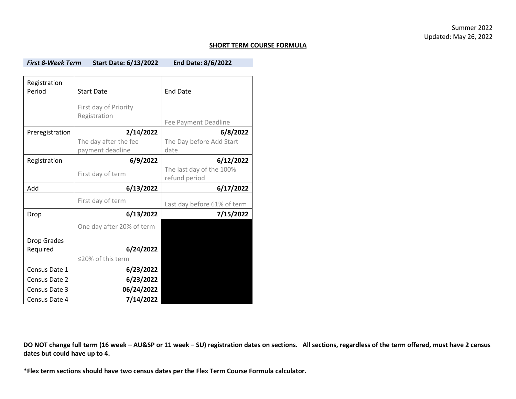## **SHORT TERM COURSE FORMULA**

*First 8-Week Term* **Start Date: 6/13/2022 End Date: 8/6/2022**

| Registration    |                           |                                           |  |
|-----------------|---------------------------|-------------------------------------------|--|
| Period          | <b>Start Date</b>         | <b>End Date</b>                           |  |
|                 | First day of Priority     |                                           |  |
|                 | Registration              | Fee Payment Deadline                      |  |
| Preregistration | 2/14/2022                 | 6/8/2022                                  |  |
|                 | The day after the fee     | The Day before Add Start                  |  |
|                 | payment deadline          | date                                      |  |
| Registration    | 6/9/2022                  | 6/12/2022                                 |  |
|                 | First day of term         | The last day of the 100%<br>refund period |  |
| hbA             | 6/13/2022                 | 6/17/2022                                 |  |
|                 | First day of term         | Last day before 61% of term               |  |
| Drop            | 6/13/2022                 | 7/15/2022                                 |  |
|                 | One day after 20% of term |                                           |  |
| Drop Grades     |                           |                                           |  |
| Required        | 6/24/2022                 |                                           |  |
|                 | ≤20% of this term         |                                           |  |
| Census Date 1   | 6/23/2022                 |                                           |  |
| Census Date 2   | 6/23/2022                 |                                           |  |
| Census Date 3   | 06/24/2022                |                                           |  |
| Census Date 4   | 7/14/2022                 |                                           |  |

**DO NOT change full term (16 week – AU&SP or 11 week – SU) registration dates on sections. All sections, regardless of the term offered, must have 2 census dates but could have up to 4.**

**\*Flex term sections should have two census dates per the Flex Term Course Formula calculator.**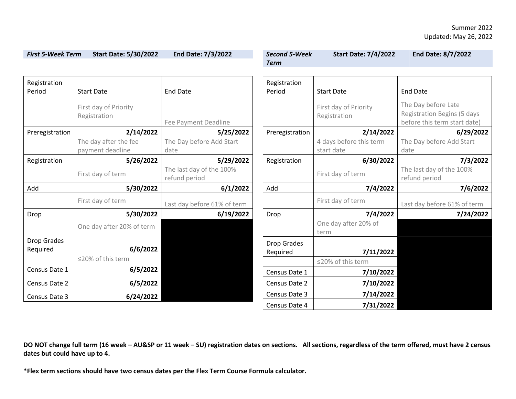| <b>First 5-Week Term</b> | <b>Start Date: 5/30/2022</b>              | End Date: 7/3/2022                        | <b>Second 5-Week</b>           | <b>Start Date: 7/4/2022</b>           | <b>End Date: 8/7/2022</b>                                                          |
|--------------------------|-------------------------------------------|-------------------------------------------|--------------------------------|---------------------------------------|------------------------------------------------------------------------------------|
|                          |                                           |                                           | <b>Term</b>                    |                                       |                                                                                    |
| Registration<br>Period   | <b>Start Date</b>                         | <b>End Date</b>                           | Registration<br>Period         | <b>Start Date</b>                     | <b>End Date</b>                                                                    |
|                          | First day of Priority<br>Registration     | Fee Payment Deadline                      |                                | First day of Priority<br>Registration | The Day before Late<br>Registration Begins (5 days<br>before this term start date) |
| Preregistration          | 2/14/2022                                 | 5/25/2022                                 | Preregistration                | 2/14/2022                             | 6/29/2022                                                                          |
|                          | The day after the fee<br>payment deadline | The Day before Add Start<br>date          |                                | 4 days before this term<br>start date | The Day before Add Start<br>date                                                   |
| Registration             | 5/26/2022                                 | 5/29/2022                                 | Registration                   | 6/30/2022                             | 7/3/2022                                                                           |
|                          | First day of term                         | The last day of the 100%<br>refund period |                                | First day of term                     | The last day of the 100%<br>refund period                                          |
| Add                      | 5/30/2022                                 | 6/1/2022                                  | Add                            | 7/4/2022                              | 7/6/2022                                                                           |
|                          | First day of term                         | Last day before 61% of term               |                                | First day of term                     | Last day before 61% of term                                                        |
| Drop                     | 5/30/2022                                 | 6/19/2022                                 | Drop                           | 7/4/2022                              | 7/24/2022                                                                          |
|                          | One day after 20% of term                 |                                           |                                | One day after 20% of<br>term          |                                                                                    |
| Drop Grades<br>Required  | 6/6/2022                                  |                                           | <b>Drop Grades</b><br>Required | 7/11/2022                             |                                                                                    |
|                          | ≤20% of this term                         |                                           |                                | ≤20% of this term                     |                                                                                    |
| Census Date 1            | 6/5/2022                                  |                                           | Census Date 1                  | 7/10/2022                             |                                                                                    |
| Census Date 2            | 6/5/2022                                  |                                           | Census Date 2                  | 7/10/2022                             |                                                                                    |
| Census Date 3            | 6/24/2022                                 |                                           | Census Date 3                  | 7/14/2022                             |                                                                                    |
|                          |                                           |                                           | Census Date 4                  | 7/31/2022                             |                                                                                    |

**DO NOT change full term (16 week – AU&SP or 11 week – SU) registration dates on sections. All sections, regardless of the term offered, must have 2 census dates but could have up to 4.**

**\*Flex term sections should have two census dates per the Flex Term Course Formula calculator.**